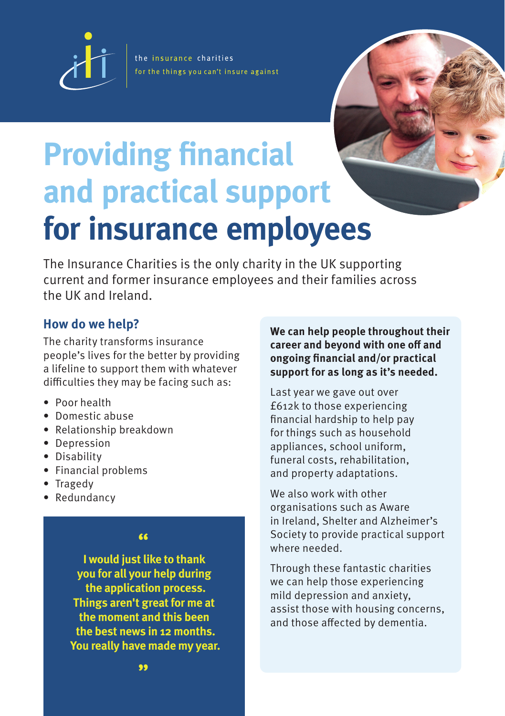

the insurance charities for the things you can't insure against



# **Providing financial and practical support for insurance employees**

The Insurance Charities is the only charity in the UK supporting current and former insurance employees and their families across the UK and Ireland.

## **How do we help?**

The charity transforms insurance people's lives for the better by providing a lifeline to support them with whatever difficulties they may be facing such as:

- Poor health
- Domestic abuse
- Relationship breakdown
- Depression
- Disability
- Financial problems
- Tragedy
- Redundancy

#### **"**

**I would just like to thank you for all your help during the application process. Things aren't great for me at the moment and this been the best news in 12 months. You really have made my year.** **We can help people throughout their career and beyond with one off and ongoing financial and/or practical support for as long as it's needed.**

Last year we gave out over £612k to those experiencing financial hardship to help pay for things such as household appliances, school uniform, funeral costs, rehabilitation, and property adaptations.

We also work with other organisations such as Aware in Ireland, Shelter and Alzheimer's Society to provide practical support where needed.

Through these fantastic charities we can help those experiencing mild depression and anxiety, assist those with housing concerns, and those affected by dementia.